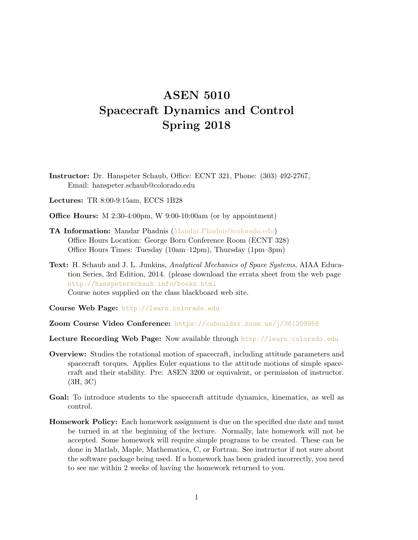## ASEN 5010 Spacecraft Dynamics and Control Spring 2018

Instructor: Dr. Hanspeter Schaub, Office: ECNT 321, Phone: (303) 492-2767, Email: hanspeter.schaub@colorado.edu

Lectures: TR 8:00-9:15am, ECCS 1B28

- Office Hours: M 2:30-4:00pm, W 9:00-10:00am (or by appointment)
- TA Information: Mandar Phadnis [\(Mandar.Phadnis@colorado.edu\)](mailto:Mandar.Phadnis@colorado.edu) Office Hours Location: George Born Conference Room (ECNT 328) Office Hours Times: Tuesday (10am–12pm), Thursday (1pm–3pm)
- Text: H. Schaub and J. L. Junkins, Analytical Mechanics of Space Systems, AIAA Education Series, 3rd Edition, 2014. (please download the errata sheet from the web page <http://hanspeterschaub.info/books.html> Course notes supplied on the class blackboard web site.

Course Web Page: <http://learn.colorado.edu>

- Zoom Course Video Conference: <https://cuboulder.zoom.us/j/361209956>
- Lecture Recording Web Page: Now available through <http://learn.colorado.edu>
- Overview: Studies the rotational motion of spacecraft, including attitude parameters and spacecraft torques. Applies Euler equations to the attitude motions of simple spacecraft and their stability. Pre: ASEN 3200 or equivalent, or permission of instructor. (3H, 3C)
- Goal: To introduce students to the spacecraft attitude dynamics, kinematics, as well as control.
- Homework Policy: Each homework assignment is due on the specified due date and must be turned in at the beginning of the lecture. Normally, late homework will not be accepted. Some homework will require simple programs to be created. These can be done in Matlab, Maple, Mathematica, C, or Fortran. See instructor if not sure about the software package being used. If a homework has been graded incorrectly, you need to see me within 2 weeks of having the homework returned to you.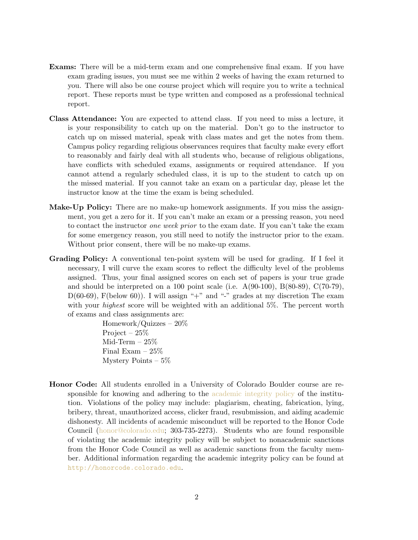- Exams: There will be a mid-term exam and one comprehensive final exam. If you have exam grading issues, you must see me within 2 weeks of having the exam returned to you. There will also be one course project which will require you to write a technical report. These reports must be type written and composed as a professional technical report.
- Class Attendance: You are expected to attend class. If you need to miss a lecture, it is your responsibility to catch up on the material. Don't go to the instructor to catch up on missed material, speak with class mates and get the notes from them. Campus policy regarding religious observances requires that faculty make every effort to reasonably and fairly deal with all students who, because of religious obligations, have conflicts with scheduled exams, assignments or required attendance. If you cannot attend a regularly scheduled class, it is up to the student to catch up on the missed material. If you cannot take an exam on a particular day, please let the instructor know at the time the exam is being scheduled.
- Make-Up Policy: There are no make-up homework assignments. If you miss the assignment, you get a zero for it. If you can't make an exam or a pressing reason, you need to contact the instructor one week prior to the exam date. If you can't take the exam for some emergency reason, you still need to notify the instructor prior to the exam. Without prior consent, there will be no make-up exams.
- Grading Policy: A conventional ten-point system will be used for grading. If I feel it necessary, I will curve the exam scores to reflect the difficulty level of the problems assigned. Thus, your final assigned scores on each set of papers is your true grade and should be interpreted on a 100 point scale (i.e.  $A(90-100)$ ,  $B(80-89)$ ,  $C(70-79)$ ,  $D(60-69)$ , F(below 60)). I will assign "+" and "-" grades at my discretion The exam with your *highest* score will be weighted with an additional 5%. The percent worth of exams and class assignments are:

Homework/Quizzes – 20% Project – 25% Mid-Term  $-25\%$ Final Exam – 25% Mystery Points  $-5\%$ 

Honor Code: All students enrolled in a University of Colorado Boulder course are responsible for knowing and adhering to the [academic integrity policy](http://www.colorado.edu/policies/academic-integrity-policy) of the institution. Violations of the policy may include: plagiarism, cheating, fabrication, lying, bribery, threat, unauthorized access, clicker fraud, resubmission, and aiding academic dishonesty. All incidents of academic misconduct will be reported to the Honor Code Council [\(honor@colorado.edu;](mailto:honor@colorado.edu) 303-735-2273). Students who are found responsible of violating the academic integrity policy will be subject to nonacademic sanctions from the Honor Code Council as well as academic sanctions from the faculty member. Additional information regarding the academic integrity policy can be found at <http://honorcode.colorado.edu>.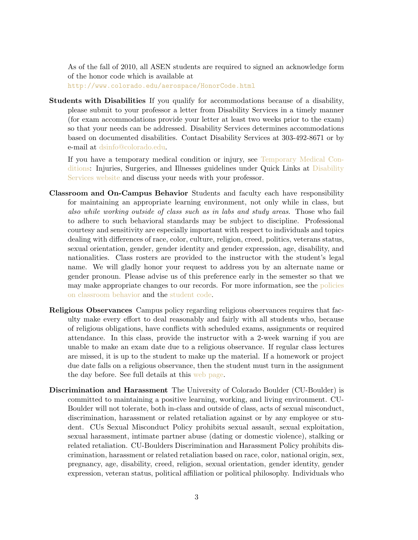As of the fall of 2010, all ASEN students are required to signed an acknowledge form of the honor code which is available at

<http://www.colorado.edu/aerospace/HonorCode.html>

Students with Disabilities If you qualify for accommodations because of a disability, please submit to your professor a letter from Disability Services in a timely manner (for exam accommodations provide your letter at least two weeks prior to the exam) so that your needs can be addressed. Disability Services determines accommodations based on documented disabilities. Contact Disability Services at 303-492-8671 or by e-mail at [dsinfo@colorado.edu.](mailto:dsinfo@colorado.edu)

If you have a temporary medical condition or injury, see [Temporary Medical Con](http://www.colorado.edu/disabilityservices/students/temporary-medical-conditions)[ditions:](http://www.colorado.edu/disabilityservices/students/temporary-medical-conditions) Injuries, Surgeries, and Illnesses guidelines under Quick Links at [Disability](http://www.colorado.edu/disabilityservices/) [Services website](http://www.colorado.edu/disabilityservices/) and discuss your needs with your professor.

- Classroom and On-Campus Behavior Students and faculty each have responsibility for maintaining an appropriate learning environment, not only while in class, but also while working outside of class such as in labs and study areas. Those who fail to adhere to such behavioral standards may be subject to discipline. Professional courtesy and sensitivity are especially important with respect to individuals and topics dealing with differences of race, color, culture, religion, creed, politics, veterans status, sexual orientation, gender, gender identity and gender expression, age, disability, and nationalities. Class rosters are provided to the instructor with the student's legal name. We will gladly honor your request to address you by an alternate name or gender pronoun. Please advise us of this preference early in the semester so that we may make appropriate changes to our records. For more information, see the [policies](http://www.colorado.edu/policies/student-classroom-and-course-related-behavior) [on classroom behavior](http://www.colorado.edu/policies/student-classroom-and-course-related-behavior) and the [student code.](http://www.colorado.edu/osc/sites/default/files/attached-files/studentconductcode_15-16.pdf)
- Religious Observances Campus policy regarding religious observances requires that faculty make every effort to deal reasonably and fairly with all students who, because of religious obligations, have conflicts with scheduled exams, assignments or required attendance. In this class, provide the instructor with a 2-week warning if you are unable to make an exam date due to a religious observance. If regular class lectures are missed, it is up to the student to make up the material. If a homework or project due date falls on a religious observance, then the student must turn in the assignment the day before. See full details at this [web page.](http://www.colorado.edu/policies/observance-religious-holidays-and-absences-classes-andor-exams)
- Discrimination and Harassment The University of Colorado Boulder (CU-Boulder) is committed to maintaining a positive learning, working, and living environment. CU-Boulder will not tolerate, both in-class and outside of class, acts of sexual misconduct, discrimination, harassment or related retaliation against or by any employee or student. CUs Sexual Misconduct Policy prohibits sexual assault, sexual exploitation, sexual harassment, intimate partner abuse (dating or domestic violence), stalking or related retaliation. CU-Boulders Discrimination and Harassment Policy prohibits discrimination, harassment or related retaliation based on race, color, national origin, sex, pregnancy, age, disability, creed, religion, sexual orientation, gender identity, gender expression, veteran status, political affiliation or political philosophy. Individuals who